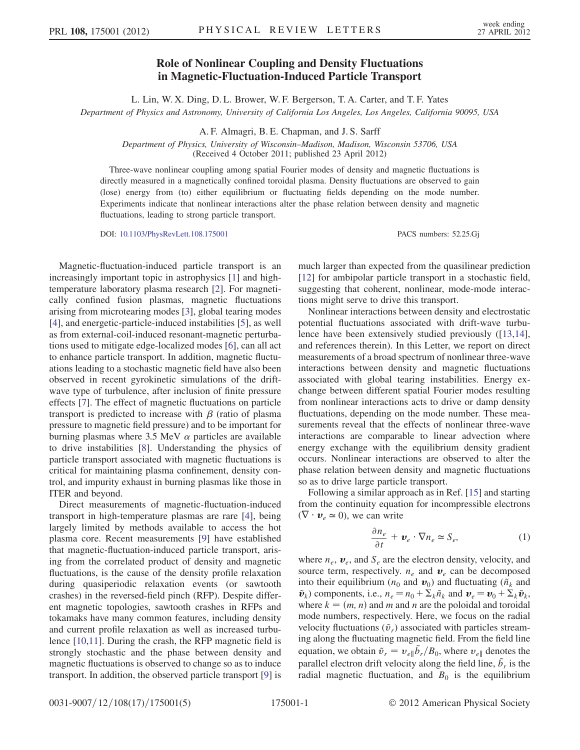## Role of Nonlinear Coupling and Density Fluctuations in Magnetic-Fluctuation-Induced Particle Transport

L. Lin, W. X. Ding, D. L. Brower, W. F. Bergerson, T. A. Carter, and T. F. Yates Department of Physics and Astronomy, University of California Los Angeles, Los Angeles, California 90095, USA

A. F. Almagri, B. E. Chapman, and J. S. Sarff

Department of Physics, University of Wisconsin–Madison, Madison, Wisconsin 53706, USA (Received 4 October 2011; published 23 April 2012)

Three-wave nonlinear coupling among spatial Fourier modes of density and magnetic fluctuations is directly measured in a magnetically confined toroidal plasma. Density fluctuations are observed to gain (lose) energy from (to) either equilibrium or fluctuating fields depending on the mode number. Experiments indicate that nonlinear interactions alter the phase relation between density and magnetic fluctuations, leading to strong particle transport.

DOI: [10.1103/PhysRevLett.108.175001](http://dx.doi.org/10.1103/PhysRevLett.108.175001) PACS numbers: 52.25.Gj

Magnetic-fluctuation-induced particle transport is an increasingly important topic in astrophysics [[1\]](#page-3-0) and hightemperature laboratory plasma research [\[2](#page-3-1)]. For magnetically confined fusion plasmas, magnetic fluctuations arising from microtearing modes [\[3\]](#page-3-2), global tearing modes [\[4\]](#page-3-3), and energetic-particle-induced instabilities [[5](#page-3-4)], as well as from external-coil-induced resonant-magnetic perturbations used to mitigate edge-localized modes [[6](#page-3-5)], can all act to enhance particle transport. In addition, magnetic fluctuations leading to a stochastic magnetic field have also been observed in recent gyrokinetic simulations of the driftwave type of turbulence, after inclusion of finite pressure effects [\[7](#page-4-0)]. The effect of magnetic fluctuations on particle transport is predicted to increase with  $\beta$  (ratio of plasma pressure to magnetic field pressure) and to be important for burning plasmas where  $3.5 \text{ MeV}$   $\alpha$  particles are available to drive instabilities [\[8\]](#page-4-1). Understanding the physics of particle transport associated with magnetic fluctuations is critical for maintaining plasma confinement, density control, and impurity exhaust in burning plasmas like those in ITER and beyond.

Direct measurements of magnetic-fluctuation-induced transport in high-temperature plasmas are rare [[4\]](#page-3-3), being largely limited by methods available to access the hot plasma core. Recent measurements [\[9](#page-4-2)] have established that magnetic-fluctuation-induced particle transport, arising from the correlated product of density and magnetic fluctuations, is the cause of the density profile relaxation during quasiperiodic relaxation events (or sawtooth crashes) in the reversed-field pinch (RFP). Despite different magnetic topologies, sawtooth crashes in RFPs and tokamaks have many common features, including density and current profile relaxation as well as increased turbulence [[10](#page-4-3),[11](#page-4-4)]. During the crash, the RFP magnetic field is strongly stochastic and the phase between density and magnetic fluctuations is observed to change so as to induce transport. In addition, the observed particle transport [[9\]](#page-4-2) is much larger than expected from the quasilinear prediction [\[12\]](#page-4-5) for ambipolar particle transport in a stochastic field, suggesting that coherent, nonlinear, mode-mode interactions might serve to drive this transport.

Nonlinear interactions between density and electrostatic potential fluctuations associated with drift-wave turbulence have been extensively studied previously ([\[13,](#page-4-6)[14\]](#page-4-7), and references therein). In this Letter, we report on direct measurements of a broad spectrum of nonlinear three-wave interactions between density and magnetic fluctuations associated with global tearing instabilities. Energy exchange between different spatial Fourier modes resulting from nonlinear interactions acts to drive or damp density fluctuations, depending on the mode number. These measurements reveal that the effects of nonlinear three-wave interactions are comparable to linear advection where energy exchange with the equilibrium density gradient occurs. Nonlinear interactions are observed to alter the phase relation between density and magnetic fluctuations so as to drive large particle transport.

<span id="page-0-0"></span>Following a similar approach as in Ref. [[15](#page-4-8)] and starting from the continuity equation for incompressible electrons  $(\nabla \cdot \boldsymbol{v}_e \simeq 0)$ , we can write

$$
\frac{\partial n_e}{\partial t} + \boldsymbol{v}_e \cdot \nabla n_e \simeq S_e, \tag{1}
$$

where  $n_e$ ,  $\boldsymbol{v}_e$ , and  $S_e$  are the electron density, velocity, and source term, respectively.  $n_e$  and  $\boldsymbol{v}_e$  can be decomposed into their equilibrium ( $n_0$  and  $\boldsymbol{v}_0$ ) and fluctuating ( $\tilde{n}_k$  and  $\tilde{\boldsymbol{v}}_k$ ) components, i.e.,  $n_e = n_0 + \Sigma_k \tilde{n}_k$  and  $\boldsymbol{v}_e = \boldsymbol{v}_0 + \Sigma_k \tilde{\boldsymbol{v}}_k$ , where  $k = (m, n)$  and m and n are the poloidal and toroidal mode numbers, respectively. Here, we focus on the radial velocity fluctuations  $(\tilde{v}_r)$  associated with particles streaming along the fluctuating magnetic field. From the field line equation, we obtain  $\tilde{v}_r = v_{e\parallel} \tilde{b}_r / B_0$ , where  $v_{e\parallel}$  denotes the parallel electron drift velocity along the field line,  $\tilde{b}_r$  is the radial magnetic fluctuation, and  $B_0$  is the equilibrium

0031-9007/12/108(17)/175001(5) 175001-1 © 2012 American Physical Society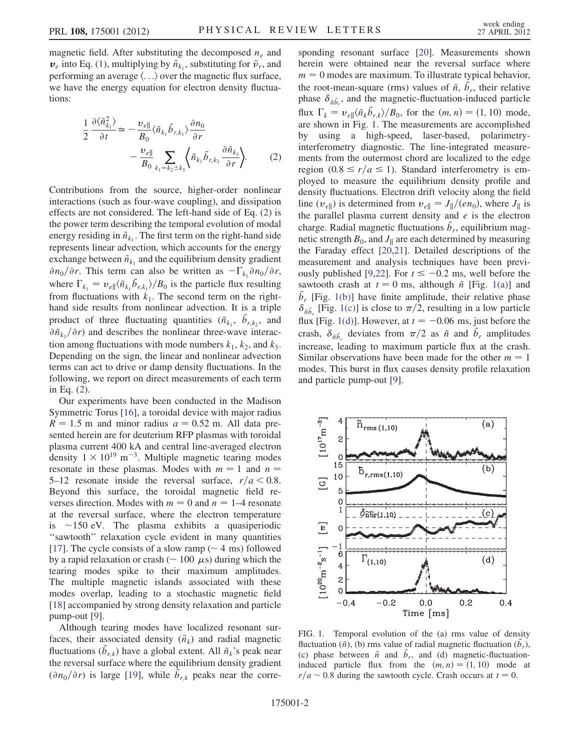magnetic field. After substituting the decomposed  $n_e$  and  $v_e$  into Eq. [\(1](#page-0-0)), multiplying by  $\tilde{n}_{k_1}$ , substituting for  $\tilde{v}_r$ , and performing an average  $\langle \ldots \rangle$  over the magnetic flux surface, we have the energy equation for electron density fluctuations:

<span id="page-1-0"></span>
$$
\frac{1}{2} \frac{\partial \langle \tilde{n}_{k_1}^2 \rangle}{\partial t} \simeq -\frac{\nu_{e\parallel}}{B_0} \langle \tilde{n}_{k_1} \tilde{b}_{r,k_1} \rangle \frac{\partial n_0}{\partial r} \n- \frac{\nu_{e\parallel}}{B_0} \sum_{k_1 = k_2 \pm k_3} \langle \tilde{n}_{k_1} \tilde{b}_{r,k_2} \frac{\partial \tilde{n}_{k_3}}{\partial r} \rangle.
$$
\n(2)

Contributions from the source, higher-order nonlinear interactions (such as four-wave coupling), and dissipation effects are not considered. The left-hand side of Eq. [\(2\)](#page-1-0) is the power term describing the temporal evolution of modal energy residing in  $\tilde{n}_{k_1}$ . The first term on the right-hand side represents linear advection, which accounts for the energy exchange between  $\tilde{n}_{k_1}$  and the equilibrium density gradient  $\partial n_0/\partial r$ . This term can also be written as  $-\Gamma_{k_1}\partial n_0/\partial r$ , where  $\Gamma_{k_1} = v_{e\parallel} \langle \tilde{n}_{k_1} \tilde{b}_{r,k_1} \rangle / B_0$  is the particle flux resulting from fluctuations with  $k_1$ . The second term on the righthand side results from nonlinear advection. It is a triple product of three fluctuating quantities  $(\tilde{n}_{k_1}, \tilde{b}_{r,k_2}, \tilde{b}_{r,k_3})$  $\partial \tilde{n}_{k_2} / \partial r$  and describes the nonlinear three-wave interaction among fluctuations with mode numbers  $k_1$ ,  $k_2$ , and  $k_3$ . Depending on the sign, the linear and nonlinear advection terms can act to drive or damp density fluctuations. In the following, we report on direct measurements of each term in Eq. ([2](#page-1-0)).

Our experiments have been conducted in the Madison Symmetric Torus [[16](#page-4-9)], a toroidal device with major radius  $R = 1.5$  m and minor radius  $a = 0.52$  m. All data presented herein are for deuterium RFP plasmas with toroidal plasma current 400 kA and central line-averaged electron density  $1 \times 10^{19}$  m<sup>-3</sup>. Multiple magnetic tearing modes resonate in these plasmas. Modes with  $m = 1$  and  $n = 1$ 5–12 resonate inside the reversal surface,  $r/a < 0.8$ . Beyond this surface, the toroidal magnetic field reverses direction. Modes with  $m = 0$  and  $n = 1-4$  resonate at the reversal surface, where the electron temperature is  $\sim$ 150 eV. The plasma exhibits a quasiperiodic ''sawtooth'' relaxation cycle evident in many quantities [\[17\]](#page-4-10). The cycle consists of a slow ramp ( $\sim$  4 ms) followed by a rapid relaxation or crash ( $\sim 100 \mu s$ ) during which the tearing modes spike to their maximum amplitudes. The multiple magnetic islands associated with these modes overlap, leading to a stochastic magnetic field [\[18\]](#page-4-11) accompanied by strong density relaxation and particle pump-out [\[9](#page-4-2)].

Although tearing modes have localized resonant surfaces, their associated density  $(\tilde{n}_k)$  and radial magnetic fluctuations  $(\tilde{b}_{r,k})$  have a global extent. All  $\tilde{n}_k$ 's peak near the reversal surface where the equilibrium density gradient  $(\partial n_0/\partial r)$  is large [\[19\]](#page-4-12), while  $\tilde{b}_{r,k}$  peaks near the corresponding resonant surface [\[20\]](#page-4-13). Measurements shown herein were obtained near the reversal surface where  $m = 0$  modes are maximum. To illustrate typical behavior, the root-mean-square (rms) values of  $\tilde{n}$ ,  $\tilde{b}_r$ , their relative phase  $\delta_{\tilde{n}\tilde{b}_r}$ , and the magnetic-fluctuation-induced particle flux  $\Gamma_k = v_{e} \sqrt[n]{\tilde{n}_k \tilde{b}_{r,k}} / B_0$ , for the  $(m, n) = (1, 10)$  mode, are shown in Fig. [1.](#page-1-1) The measurements are accomplished by using a high-speed, laser-based, polarimetryinterferometry diagnostic. The line-integrated measurements from the outermost chord are localized to the edge region  $(0.8 \le r/a \le 1)$ . Standard interferometry is employed to measure the equilibrium density profile and density fluctuations. Electron drift velocity along the field line ( $v_{e\parallel}$ ) is determined from  $v_{e\parallel} = J_{\parallel}/(en_0)$ , where  $J_{\parallel}$  is the parallel plasma current density and  $e$  is the electron charge. Radial magnetic fluctuations  $\tilde{b}_r$ , equilibrium magnetic strength  $B_0$ , and  $J_{\parallel}$  are each determined by measuring the Faraday effect [\[20,](#page-4-13)[21\]](#page-4-14). Detailed descriptions of the measurement and analysis techniques have been previ-ously published [[9](#page-4-2)[,22\]](#page-4-15). For  $t \le -0.2$  ms, well before the sawtooth crash at  $t = 0$  ms, although  $\tilde{n}$  [Fig. [1\(a\)\]](#page-1-2) and  $\tilde{b}_r$  [Fig. [1\(b\)\]](#page-1-2) have finite amplitude, their relative phase  $\delta_{\tilde{n}\tilde{b}_r}$  [Fig. [1\(c\)\]](#page-1-2) is close to  $\pi/2$ , resulting in a low particle flux [Fig. [1\(d\)\]](#page-1-2). However, at  $t = -0.06$  ms, just before the crash,  $\delta_{\tilde{n}\tilde{b}_r}$  deviates from  $\pi/2$  as  $\tilde{n}$  and  $\tilde{b}_r$  amplitudes increase, leading to maximum particle flux at the crash. Similar observations have been made for the other  $m = 1$ modes. This burst in flux causes density profile relaxation and particle pump-out [[9](#page-4-2)].

<span id="page-1-1"></span>

<span id="page-1-2"></span>FIG. 1. Temporal evolution of the (a) rms value of density fluctuation  $(\tilde{n})$ , (b) rms value of radial magnetic fluctuation  $(\tilde{b}_r)$ , (c) phase between  $\tilde{n}$  and  $\tilde{b}_r$ , and (d) magnetic-fluctuationinduced particle flux from the  $(m, n) = (1, 10)$  mode at  $r/a \sim 0.8$  during the sawtooth cycle. Crash occurs at  $t = 0$ .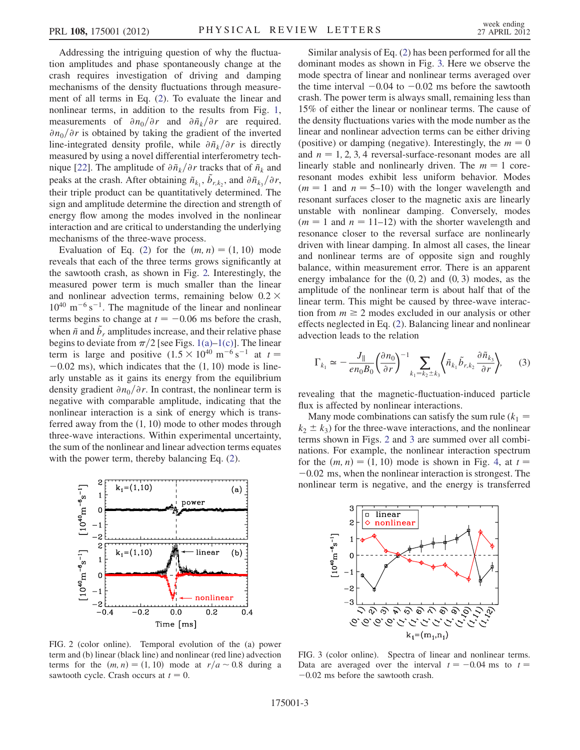Addressing the intriguing question of why the fluctuation amplitudes and phase spontaneously change at the crash requires investigation of driving and damping mechanisms of the density fluctuations through measurement of all terms in Eq. ([2](#page-1-0)). To evaluate the linear and nonlinear terms, in addition to the results from Fig. [1](#page-1-1), measurements of  $\partial n_0/\partial r$  and  $\partial \tilde{n}_k/\partial r$  are required.  $\partial n_0/\partial r$  is obtained by taking the gradient of the inverted line-integrated density profile, while  $\partial \tilde{n}_k/\partial r$  is directly measured by using a novel differential interferometry tech-nique [[22](#page-4-15)]. The amplitude of  $\partial \tilde{n}_k/\partial r$  tracks that of  $\tilde{n}_k$  and peaks at the crash. After obtaining  $\tilde{n}_{k_1}, \tilde{b}_{r,k_2}$ , and  $\partial \tilde{n}_{k_3}/\partial r$ , their triple product can be quantitatively determined. The sign and amplitude determine the direction and strength of energy flow among the modes involved in the nonlinear interaction and are critical to understanding the underlying mechanisms of the three-wave process.

Evaluation of Eq. ([2](#page-1-0)) for the  $(m, n) = (1, 10)$  mode reveals that each of the three terms grows significantly at the sawtooth crash, as shown in Fig. [2.](#page-2-0) Interestingly, the measured power term is much smaller than the linear and nonlinear advection terms, remaining below  $0.2 \times$  $10^{40}$  m<sup>-6</sup> s<sup>-1</sup>. The magnitude of the linear and nonlinear terms begins to change at  $t = -0.06$  ms before the crash, when  $\tilde{n}$  and  $\tilde{b}_r$  amplitudes increase, and their relative phase begins to deviate from  $\pi/2$  [see Figs. [1\(a\)](#page-1-2)–[1\(c\)\]](#page-1-2). The linear term is large and positive  $(1.5 \times 10^{40} \text{ m}^{-6} \text{ s}^{-1})$  at  $t =$  $-0.02$  ms), which indicates that the  $(1, 10)$  mode is linearly unstable as it gains its energy from the equilibrium density gradient  $\partial n_0/\partial r$ . In contrast, the nonlinear term is negative with comparable amplitude, indicating that the nonlinear interaction is a sink of energy which is transferred away from the  $(1, 10)$  mode to other modes through three-wave interactions. Within experimental uncertainty, the sum of the nonlinear and linear advection terms equates with the power term, thereby balancing Eq. [\(2\)](#page-1-0).

<span id="page-2-0"></span>

FIG. 2 (color online). Temporal evolution of the (a) power term and (b) linear (black line) and nonlinear (red line) advection terms for the  $(m, n) = (1, 10)$  mode at  $r/a \sim 0.8$  during a sawtooth cycle. Crash occurs at  $t = 0$ .

Similar analysis of Eq. [\(2](#page-1-0)) has been performed for all the dominant modes as shown in Fig. [3.](#page-2-1) Here we observe the mode spectra of linear and nonlinear terms averaged over the time interval  $-0.04$  to  $-0.02$  ms before the sawtooth crash. The power term is always small, remaining less than 15% of either the linear or nonlinear terms. The cause of the density fluctuations varies with the mode number as the linear and nonlinear advection terms can be either driving (positive) or damping (negative). Interestingly, the  $m = 0$ and  $n = 1, 2, 3, 4$  reversal-surface-resonant modes are all linearly stable and nonlinearly driven. The  $m = 1$  coreresonant modes exhibit less uniform behavior. Modes  $(m = 1$  and  $n = 5{\text -}10)$  with the longer wavelength and resonant surfaces closer to the magnetic axis are linearly unstable with nonlinear damping. Conversely, modes  $(m = 1$  and  $n = 11-12)$  with the shorter wavelength and resonance closer to the reversal surface are nonlinearly driven with linear damping. In almost all cases, the linear and nonlinear terms are of opposite sign and roughly balance, within measurement error. There is an apparent energy imbalance for the  $(0, 2)$  and  $(0, 3)$  modes, as the amplitude of the nonlinear term is about half that of the linear term. This might be caused by three-wave interaction from  $m \geq 2$  modes excluded in our analysis or other effects neglected in Eq. [\(2](#page-1-0)). Balancing linear and nonlinear advection leads to the relation

<span id="page-2-2"></span>
$$
\Gamma_{k_1} \simeq -\frac{J_{\parallel}}{en_0B_0} \left(\frac{\partial n_0}{\partial r}\right)^{-1} \sum_{k_1=k_2 \pm k_3} \left\langle \tilde{n}_{k_1} \tilde{b}_{r,k_2} \frac{\partial \tilde{n}_{k_3}}{\partial r} \right\rangle, \tag{3}
$$

revealing that the magnetic-fluctuation-induced particle flux is affected by nonlinear interactions.

Many mode combinations can satisfy the sum rule  $(k_1 =$  $k_2 \pm k_3$ ) for the three-wave interactions, and the nonlinear terms shown in Figs. [2](#page-2-0) and [3](#page-2-1) are summed over all combinations. For example, the nonlinear interaction spectrum for the  $(m, n) = (1, 10)$  mode is shown in Fig. [4,](#page-3-6) at  $t =$ -0:02 ms, when the nonlinear interaction is strongest. The nonlinear term is negative, and the energy is transferred

<span id="page-2-1"></span>

FIG. 3 (color online). Spectra of linear and nonlinear terms. Data are averaged over the interval  $t = -0.04$  ms to  $t =$ -0:02 ms before the sawtooth crash.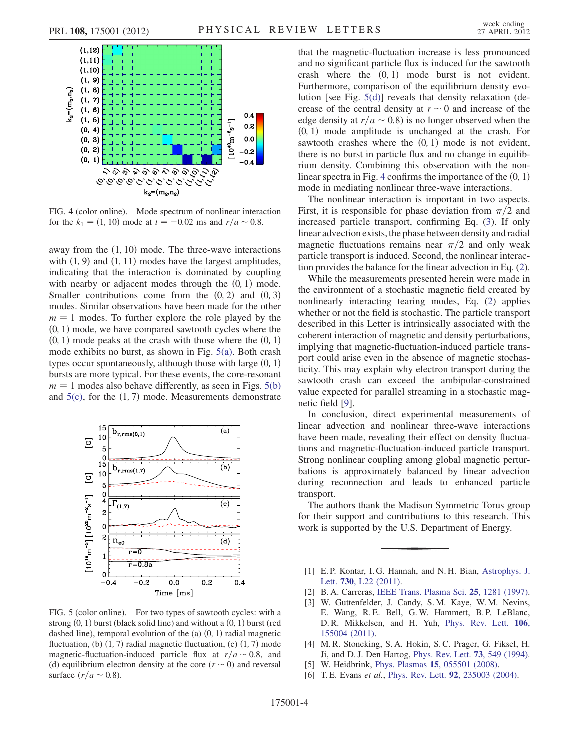<span id="page-3-6"></span>

FIG. 4 (color online). Mode spectrum of nonlinear interaction for the  $k_1 = (1, 10)$  mode at  $t = -0.02$  ms and  $r/a \sim 0.8$ .

away from the  $(1, 10)$  mode. The three-wave interactions with  $(1, 9)$  and  $(1, 11)$  modes have the largest amplitudes, indicating that the interaction is dominated by coupling with nearby or adjacent modes through the  $(0, 1)$  mode. Smaller contributions come from the  $(0, 2)$  and  $(0, 3)$ modes. Similar observations have been made for the other  $m = 1$  modes. To further explore the role played by the  $(0, 1)$  mode, we have compared sawtooth cycles where the  $(0, 1)$  mode peaks at the crash with those where the  $(0, 1)$ mode exhibits no burst, as shown in Fig. [5\(a\)](#page-3-7). Both crash types occur spontaneously, although those with large  $(0, 1)$ bursts are more typical. For these events, the core-resonant  $m = 1$  modes also behave differently, as seen in Figs. [5\(b\)](#page-3-7) and  $5(c)$ , for the  $(1, 7)$  mode. Measurements demonstrate



<span id="page-3-7"></span>FIG. 5 (color online). For two types of sawtooth cycles: with a strong  $(0, 1)$  burst (black solid line) and without a  $(0, 1)$  burst (red dashed line), temporal evolution of the (a)  $(0, 1)$  radial magnetic fluctuation, (b)  $(1, 7)$  radial magnetic fluctuation, (c)  $(1, 7)$  mode magnetic-fluctuation-induced particle flux at  $r/a \sim 0.8$ , and (d) equilibrium electron density at the core ( $r \sim 0$ ) and reversal surface  $\left(\frac{r}{a} \sim 0.8\right)$ .

that the magnetic-fluctuation increase is less pronounced and no significant particle flux is induced for the sawtooth crash where the  $(0, 1)$  mode burst is not evident. Furthermore, comparison of the equilibrium density evolution [see Fig. [5\(d\)](#page-3-7)] reveals that density relaxation (decrease of the central density at  $r \sim 0$  and increase of the edge density at  $r/a \sim 0.8$ ) is no longer observed when the  $(0, 1)$  mode amplitude is unchanged at the crash. For sawtooth crashes where the  $(0, 1)$  mode is not evident, there is no burst in particle flux and no change in equilibrium density. Combining this observation with the non-linear spectra in Fig. [4](#page-3-6) confirms the importance of the  $(0, 1)$ mode in mediating nonlinear three-wave interactions.

The nonlinear interaction is important in two aspects. First, it is responsible for phase deviation from  $\pi/2$  and increased particle transport, confirming Eq. ([3\)](#page-2-2). If only linear advection exists, the phase between density and radial magnetic fluctuations remains near  $\pi/2$  and only weak particle transport is induced. Second, the nonlinear interaction provides the balance for the linear advection in Eq. ([2\)](#page-1-0).

While the measurements presented herein were made in the environment of a stochastic magnetic field created by nonlinearly interacting tearing modes, Eq. [\(2\)](#page-1-0) applies whether or not the field is stochastic. The particle transport described in this Letter is intrinsically associated with the coherent interaction of magnetic and density perturbations, implying that magnetic-fluctuation-induced particle transport could arise even in the absence of magnetic stochasticity. This may explain why electron transport during the sawtooth crash can exceed the ambipolar-constrained value expected for parallel streaming in a stochastic magnetic field [[9\]](#page-4-2).

In conclusion, direct experimental measurements of linear advection and nonlinear three-wave interactions have been made, revealing their effect on density fluctuations and magnetic-fluctuation-induced particle transport. Strong nonlinear coupling among global magnetic perturbations is approximately balanced by linear advection during reconnection and leads to enhanced particle transport.

The authors thank the Madison Symmetric Torus group for their support and contributions to this research. This work is supported by the U.S. Department of Energy.

- <span id="page-3-0"></span>[1] E. P. Kontar, I. G. Hannah, and N. H. Bian, [Astrophys. J.](http://dx.doi.org/10.1088/2041-8205/730/2/L22) Lett. 730[, L22 \(2011\).](http://dx.doi.org/10.1088/2041-8205/730/2/L22)
- <span id="page-3-2"></span><span id="page-3-1"></span>[2] B. A. Carreras, [IEEE Trans. Plasma Sci.](http://dx.doi.org/10.1109/27.650902) 25, 1281 (1997).
- [3] W. Guttenfelder, J. Candy, S.M. Kaye, W.M. Nevins, E. Wang, R. E. Bell, G. W. Hammett, B. P. LeBlanc, D. R. Mikkelsen, and H. Yuh, [Phys. Rev. Lett.](http://dx.doi.org/10.1103/PhysRevLett.106.155004) 106, [155004 \(2011\).](http://dx.doi.org/10.1103/PhysRevLett.106.155004)
- <span id="page-3-3"></span>[4] M. R. Stoneking, S. A. Hokin, S. C. Prager, G. Fiksel, H. Ji, and D. J. Den Hartog, [Phys. Rev. Lett.](http://dx.doi.org/10.1103/PhysRevLett.73.549) 73, 549 (1994).
- <span id="page-3-5"></span><span id="page-3-4"></span>[5] W. Heidbrink, Phys. Plasmas 15[, 055501 \(2008\).](http://dx.doi.org/10.1063/1.2838239)
- [6] T. E. Evans et al., Phys. Rev. Lett. **92**[, 235003 \(2004\)](http://dx.doi.org/10.1103/PhysRevLett.92.235003).